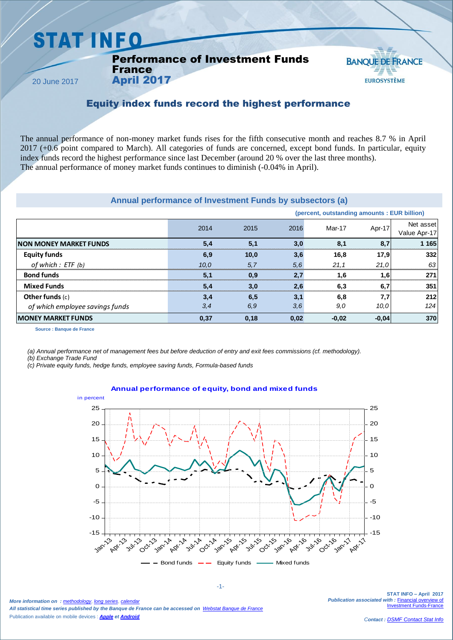## **STAT INFO**

#### Performance of Investment Funds France

20 June 2017

### **BANOUE DE FRANCE EUROSYSTÈME**

#### Equity index funds record the highest performance

The annual performance of non-money market funds rises for the fifth consecutive month and reaches 8.7 % in April 2017 (+0.6 point compared to March). All categories of funds are concerned, except bond funds. In particular, equity index funds record the highest performance since last December (around 20 % over the last three months). The annual performance of money market funds continues to diminish (-0.04% in April).

#### **Annual performance of Investment Funds by subsectors (a)**

|                                 | Annual performance of Investment Funds by subsectors (a) |      |      |                                              |         |                           |
|---------------------------------|----------------------------------------------------------|------|------|----------------------------------------------|---------|---------------------------|
|                                 |                                                          |      |      | (percent, outstanding amounts : EUR billion) |         |                           |
|                                 | 2014                                                     | 2015 | 2016 | Mar-17                                       | Apr-17  | Net asset<br>Value Apr-17 |
| <b>NON MONEY MARKET FUNDS</b>   | 5,4                                                      | 5,1  | 3,0  | 8,1                                          | 8,7     | 1 1 6 5                   |
| <b>Equity funds</b>             | 6,9                                                      | 10,0 | 3,6  | 16,8                                         | 17,9    | 332                       |
| of which : ETF (b)              | 10.0                                                     | 5,7  | 5,6  | 21,1                                         | 21,0    | 63                        |
| <b>Bond funds</b>               | 5.1                                                      | 0,9  | 2,7  | 1,6                                          | 1,6     | 271                       |
| <b>Mixed Funds</b>              | 5,4                                                      | 3,0  | 2,6  | 6,3                                          | 6,7     | 351                       |
| Other funds $(c)$               | 3,4                                                      | 6,5  | 3,1  | 6,8                                          | 7,7     | 212                       |
| of which employee savings funds | 3,4                                                      | 6,9  | 3,6  | 9,0                                          | 10.0    | 124                       |
| <b>MONEY MARKET FUNDS</b>       | 0,37                                                     | 0,18 | 0,02 | $-0,02$                                      | $-0,04$ | 370                       |
| Source : Banque de France       |                                                          |      |      |                                              |         |                           |

**Source : Banque de France**

*(a) Annual performance net of management fees but before deduction of entry and exit fees commissions (cf. methodology).*

*(b) Exchange Trade Fund*

*(c) Private equity funds, hedge funds, employee saving funds, Formula-based funds*

April 2017

#### **Annual performance of equity, bond and mixed funds**



-1-

*More information on : [methodology](https://www.banque-france.fr/en/node/21464)*, *[long series](http://webstat.banque-france.fr/en/browse.do?node=5384218)*, *[calendar](https://www.banque-france.fr/en/statistics/calendar) All statistical time series published by the Banque de France can be accessed on [Webstat Banque de France](http://webstat.banque-france.fr/en/)* Publication available on mobile devices : *[Apple](https://itunes.apple.com/fr/app/banquefrance/id663817914?mt=8) e[t Android](https://play.google.com/store/apps/details?id=fr.bdf.mobile&feature=search_result#?t=W251bGwsMSwyLDEsImZyLmJkZi5tb2JpbGUiXQ)*

**STAT INFO – April 2017** *Publication associated with :* [Financial overview of](https://www.banque-france.fr/en/node/4206)  **Investment Funds-Fra**